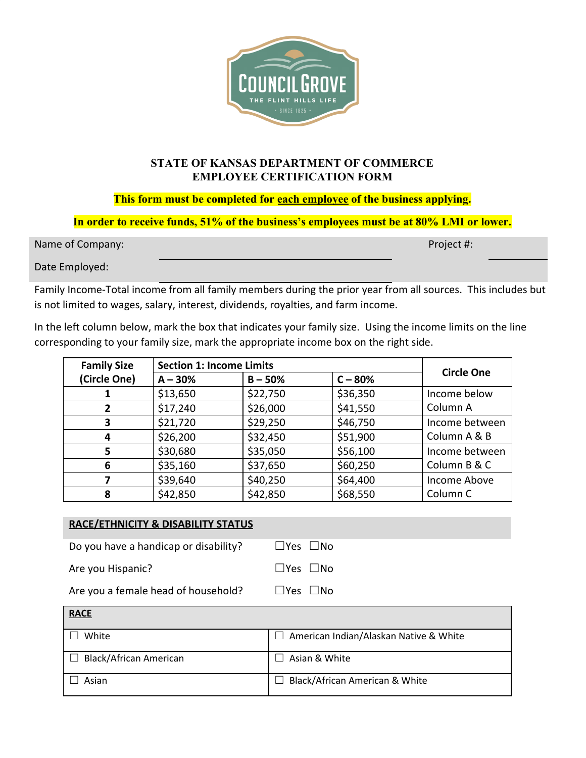

## **STATE OF KANSAS DEPARTMENT OF COMMERCE EMPLOYEE CERTIFICATION FORM**

**This form must be completed for each employee of the business applying.**

**In order to receive funds, 51% of the business's employees must be at 80% LMI or lower.**

Name of Company:  $\blacksquare$ 

Date Employed:

Family Income-Total income from all family members during the prior year from all sources. This includes but is not limited to wages, salary, interest, dividends, royalties, and farm income.

In the left column below, mark the box that indicates your family size. Using the income limits on the line corresponding to your family size, mark the appropriate income box on the right side.

| <b>Family Size</b> | <b>Section 1: Income Limits</b> |           |           | <b>Circle One</b> |
|--------------------|---------------------------------|-----------|-----------|-------------------|
| (Circle One)       | $A - 30%$                       | $B - 50%$ | $C - 80%$ |                   |
|                    | \$13,650                        | \$22,750  | \$36,350  | Income below      |
| 2                  | \$17,240                        | \$26,000  | \$41,550  | Column A          |
| 3                  | \$21,720                        | \$29,250  | \$46,750  | Income between    |
| 4                  | \$26,200                        | \$32,450  | \$51,900  | Column A & B      |
| 5                  | \$30,680                        | \$35,050  | \$56,100  | Income between    |
| 6                  | \$35,160                        | \$37,650  | \$60,250  | Column B & C      |
|                    | \$39,640                        | \$40,250  | \$64,400  | Income Above      |
| 8                  | \$42,850                        | \$42,850  | \$68,550  | Column C          |

| <b>RACE/ETHNICITY &amp; DISABILITY STATUS</b> |                            |
|-----------------------------------------------|----------------------------|
| Do you have a handicap or disability?         | $\Box$ Yes $\Box$ No       |
| Are you Hispanic?                             | $\square$ Yes $\square$ No |
| Are you a female head of household?           | Yes   INo                  |

| <b>RACE</b>                   |                                        |
|-------------------------------|----------------------------------------|
| White                         | American Indian/Alaskan Native & White |
| <b>Black/African American</b> | Asian & White                          |
| Asian                         | Black/African American & White         |